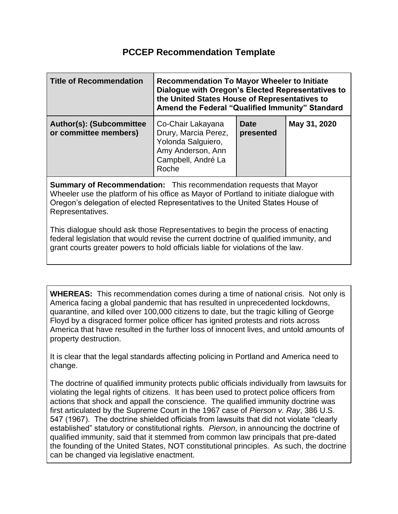## **PCCEP Recommendation Template**

| <b>Title of Recommendation</b>                           | <b>Recommendation To Mayor Wheeler to Initiate</b><br>Dialogue with Oregon's Elected Representatives to<br>the United States House of Representatives to<br>Amend the Federal "Qualified Immunity" Standard |                          |              |
|----------------------------------------------------------|-------------------------------------------------------------------------------------------------------------------------------------------------------------------------------------------------------------|--------------------------|--------------|
| <b>Author(s): (Subcommittee</b><br>or committee members) | Co-Chair Lakayana<br>Drury, Marcia Perez,<br>Yolonda Salguiero,<br>Amy Anderson, Ann<br>Campbell, André La<br>Roche                                                                                         | <b>Date</b><br>presented | May 31, 2020 |

**Summary of Recommendation:** This recommendation requests that Mayor Wheeler use the platform of his office as Mayor of Portland to initiate dialogue with Oregon's delegation of elected Representatives to the United States House of Representatives.

This dialogue should ask those Representatives to begin the process of enacting federal legislation that would revise the current doctrine of qualified immunity, and grant courts greater powers to hold officials liable for violations of the law.

**WHEREAS:** This recommendation comes during a time of national crisis. Not only is America facing a global pandemic that has resulted in unprecedented lockdowns, quarantine, and killed over 100,000 citizens to date, but the tragic killing of George Floyd by a disgraced former police officer has ignited protests and riots across America that have resulted in the further loss of innocent lives, and untold amounts of property destruction.

It is clear that the legal standards affecting policing in Portland and America need to change.

The doctrine of qualified immunity protects public officials individually from lawsuits for violating the legal rights of citizens. It has been used to protect police officers from actions that shock and appall the conscience. The qualified immunity doctrine was first articulated by the Supreme Court in the 1967 case of *Pierson v. Ray*, 386 U.S. 547 (1967). The doctrine shielded officials from lawsuits that did not violate "clearly established" statutory or constitutional rights. *Pierson*, in announcing the doctrine of qualified immunity, said that it stemmed from common law principals that pre-dated the founding of the United States, NOT constitutional principles. As such, the doctrine can be changed via legislative enactment.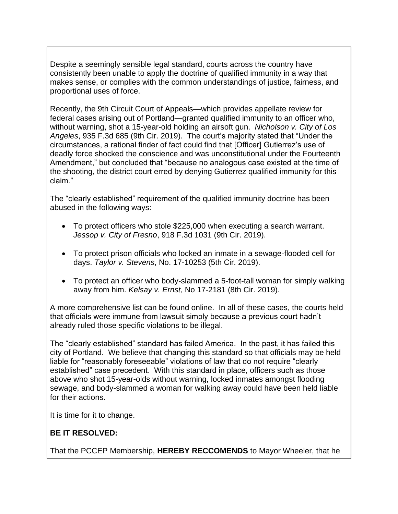Despite a seemingly sensible legal standard, courts across the country have consistently been unable to apply the doctrine of qualified immunity in a way that makes sense, or complies with the common understandings of justice, fairness, and proportional uses of force.

Recently, the 9th Circuit Court of Appeals—which provides appellate review for federal cases arising out of Portland—granted qualified immunity to an officer who, without warning, shot a 15-year-old holding an airsoft gun. *Nicholson v. City of Los Angeles*, 935 F.3d 685 (9th Cir. 2019). The court's majority stated that "Under the circumstances, a rational finder of fact could find that [Officer] Gutierrez's use of deadly force shocked the conscience and was unconstitutional under the Fourteenth Amendment," but concluded that "because no analogous case existed at the time of the shooting, the district court erred by denying Gutierrez qualified immunity for this claim."

The "clearly established" requirement of the qualified immunity doctrine has been abused in the following ways:

- To protect officers who stole \$225,000 when executing a search warrant. *Jessop v. City of Fresno*, 918 F.3d 1031 (9th Cir. 2019).
- To protect prison officials who locked an inmate in a sewage-flooded cell for days. *Taylor v. Stevens*, No. 17-10253 (5th Cir. 2019).
- To protect an officer who body-slammed a 5-foot-tall woman for simply walking away from him. *Kelsay v. Ernst*, No 17-2181 (8th Cir. 2019).

A more comprehensive list can be found online. In all of these cases, the courts held that officials were immune from lawsuit simply because a previous court hadn't already ruled those specific violations to be illegal.

The "clearly established" standard has failed America. In the past, it has failed this city of Portland. We believe that changing this standard so that officials may be held liable for "reasonably foreseeable" violations of law that do not require "clearly established" case precedent. With this standard in place, officers such as those above who shot 15-year-olds without warning, locked inmates amongst flooding sewage, and body-slammed a woman for walking away could have been held liable for their actions.

It is time for it to change.

## **BE IT RESOLVED:**

That the PCCEP Membership, **HEREBY RECCOMENDS** to Mayor Wheeler, that he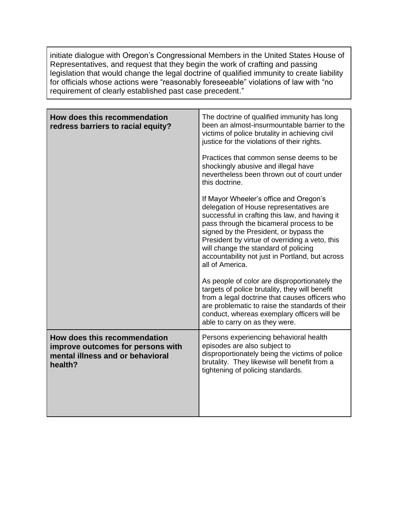initiate dialogue with Oregon's Congressional Members in the United States House of Representatives, and request that they begin the work of crafting and passing legislation that would change the legal doctrine of qualified immunity to create liability for officials whose actions were "reasonably foreseeable" violations of law with "no requirement of clearly established past case precedent."

| How does this recommendation<br>redress barriers to racial equity?                                               | The doctrine of qualified immunity has long<br>been an almost-insurmountable barrier to the<br>victims of police brutality in achieving civil<br>justice for the violations of their rights.<br>Practices that common sense deems to be<br>shockingly abusive and illegal have<br>nevertheless been thrown out of court under<br>this doctrine.<br>If Mayor Wheeler's office and Oregon's<br>delegation of House representatives are<br>successful in crafting this law, and having it<br>pass through the bicameral process to be<br>signed by the President, or bypass the<br>President by virtue of overriding a veto, this<br>will change the standard of policing<br>accountability not just in Portland, but across<br>all of America.<br>As people of color are disproportionately the<br>targets of police brutality, they will benefit<br>from a legal doctrine that causes officers who<br>are problematic to raise the standards of their<br>conduct, whereas exemplary officers will be |
|------------------------------------------------------------------------------------------------------------------|-----------------------------------------------------------------------------------------------------------------------------------------------------------------------------------------------------------------------------------------------------------------------------------------------------------------------------------------------------------------------------------------------------------------------------------------------------------------------------------------------------------------------------------------------------------------------------------------------------------------------------------------------------------------------------------------------------------------------------------------------------------------------------------------------------------------------------------------------------------------------------------------------------------------------------------------------------------------------------------------------------|
|                                                                                                                  | able to carry on as they were.                                                                                                                                                                                                                                                                                                                                                                                                                                                                                                                                                                                                                                                                                                                                                                                                                                                                                                                                                                      |
| How does this recommendation<br>improve outcomes for persons with<br>mental illness and or behavioral<br>health? | Persons experiencing behavioral health<br>episodes are also subject to<br>disproportionately being the victims of police<br>brutality. They likewise will benefit from a<br>tightening of policing standards.                                                                                                                                                                                                                                                                                                                                                                                                                                                                                                                                                                                                                                                                                                                                                                                       |